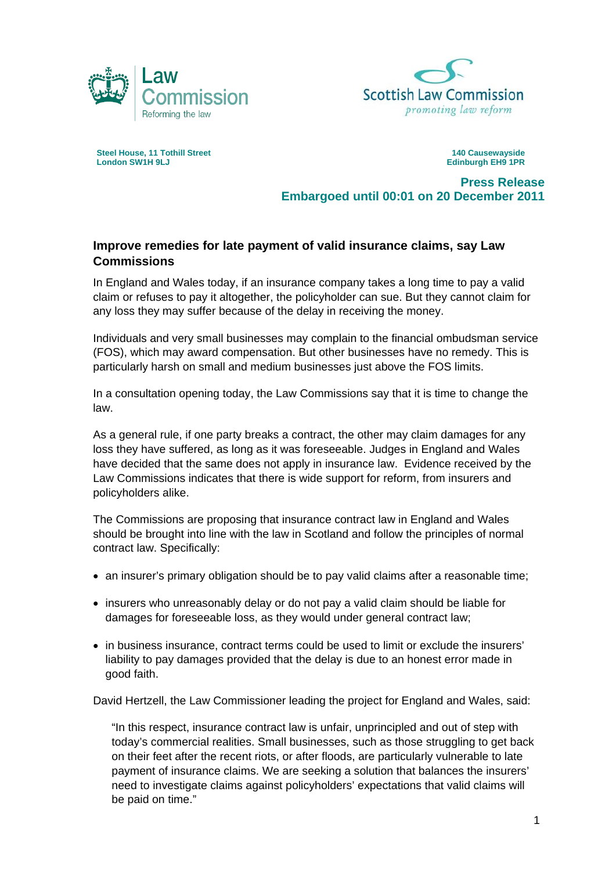



**Steel House, 11 Tothill Street London SW1H 9LJ** 

**140 Causewayside Edinburgh EH9 1PR** 

**Press Release Embargoed until 00:01 on 20 December 2011** 

## **Improve remedies for late payment of valid insurance claims, say Law Commissions**

In England and Wales today, if an insurance company takes a long time to pay a valid claim or refuses to pay it altogether, the policyholder can sue. But they cannot claim for any loss they may suffer because of the delay in receiving the money.

Individuals and very small businesses may complain to the financial ombudsman service (FOS), which may award compensation. But other businesses have no remedy. This is particularly harsh on small and medium businesses just above the FOS limits.

In a consultation opening today, the Law Commissions say that it is time to change the law.

As a general rule, if one party breaks a contract, the other may claim damages for any loss they have suffered, as long as it was foreseeable. Judges in England and Wales have decided that the same does not apply in insurance law. Evidence received by the Law Commissions indicates that there is wide support for reform, from insurers and policyholders alike.

The Commissions are proposing that insurance contract law in England and Wales should be brought into line with the law in Scotland and follow the principles of normal contract law. Specifically:

- an insurer's primary obligation should be to pay valid claims after a reasonable time;
- insurers who unreasonably delay or do not pay a valid claim should be liable for damages for foreseeable loss, as they would under general contract law;
- in business insurance, contract terms could be used to limit or exclude the insurers' liability to pay damages provided that the delay is due to an honest error made in good faith.

David Hertzell, the Law Commissioner leading the project for England and Wales, said:

"In this respect, insurance contract law is unfair, unprincipled and out of step with today's commercial realities. Small businesses, such as those struggling to get back on their feet after the recent riots, or after floods, are particularly vulnerable to late payment of insurance claims. We are seeking a solution that balances the insurers' need to investigate claims against policyholders' expectations that valid claims will be paid on time."